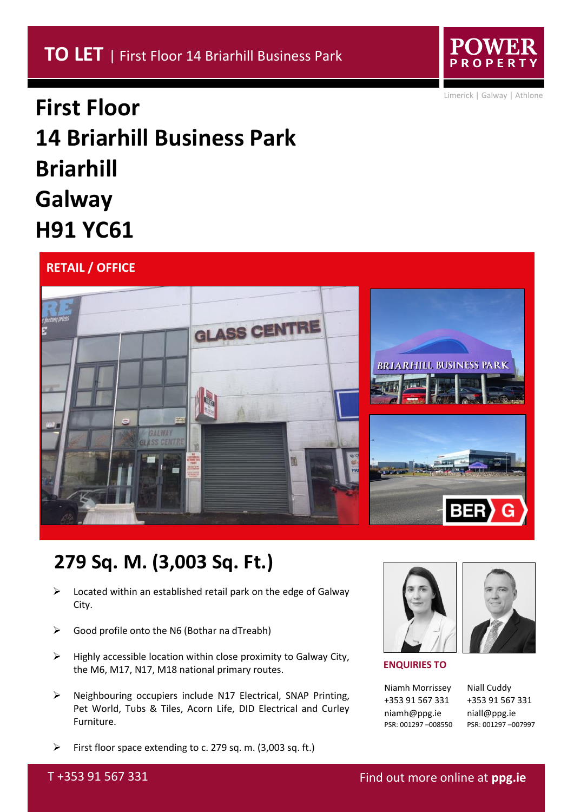

Limerick | Galway | Athlone

# **First Floor 14 Briarhill Business Park Briarhill Galway H91 YC61**

### **RETAIL / OFFICE**



## **279 Sq. M. (3,003 Sq. Ft.)**

- $\triangleright$  Located within an established retail park on the edge of Galway City.
- $\triangleright$  Good profile onto the N6 (Bothar na dTreabh)
- $\triangleright$  Highly accessible location within close proximity to Galway City, the M6, M17, N17, M18 national primary routes.
- ➢ Neighbouring occupiers include N17 Electrical, SNAP Printing, Pet World, Tubs & Tiles, Acorn Life, DID Electrical and Curley Furniture.
- ➢ First floor space extending to c. 279 sq. m. (3,003 sq. ft.)





Niamh Morrissey +353 91 567 331 niamh@ppg.ie PSR: 001297 –008550 Niall Cuddy +353 91 567 331 niall@ppg.ie PSR: 001297 –007997